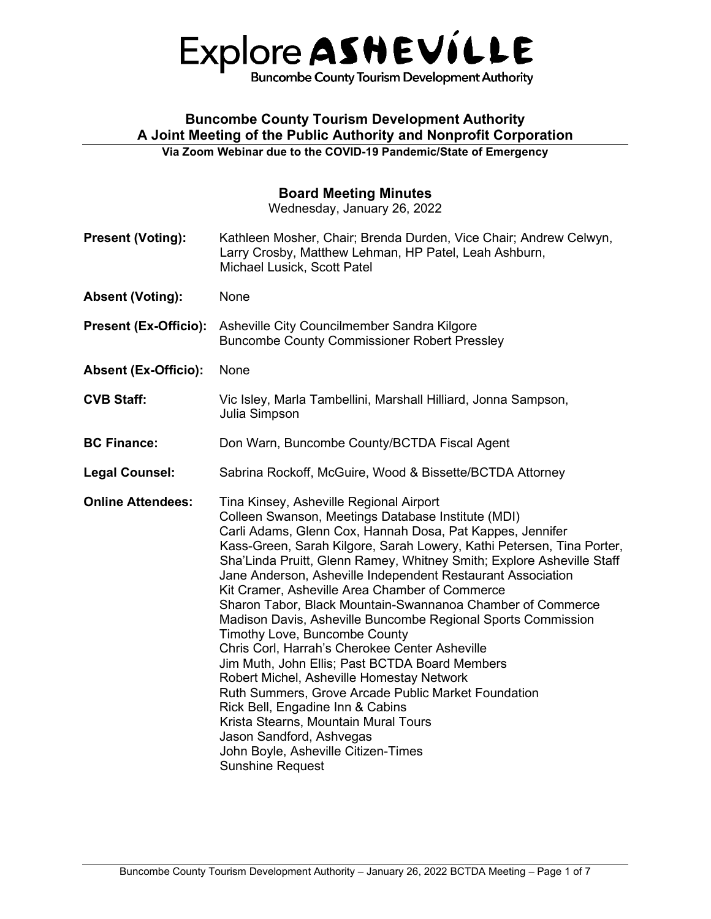

**Buncombe County Tourism Development Authority** 

# **Buncombe County Tourism Development Authority A Joint Meeting of the Public Authority and Nonprofit Corporation Via Zoom Webinar due to the COVID-19 Pandemic/State of Emergency**

# **Board Meeting Minutes**

Wednesday, January 26, 2022

- **Present (Voting):** Kathleen Mosher, Chair; Brenda Durden, Vice Chair; Andrew Celwyn, Larry Crosby, Matthew Lehman, HP Patel, Leah Ashburn, Michael Lusick, Scott Patel
- **Absent (Voting):** None
- **Present (Ex-Officio):** Asheville City Councilmember Sandra Kilgore Buncombe County Commissioner Robert Pressley
- **Absent (Ex-Officio):** None
- **CVB Staff:** Vic Isley, Marla Tambellini, Marshall Hilliard, Jonna Sampson, Julia Simpson
- **BC Finance:** Don Warn, Buncombe County/BCTDA Fiscal Agent
- **Legal Counsel:** Sabrina Rockoff, McGuire, Wood & Bissette/BCTDA Attorney
- **Online Attendees:** Tina Kinsey, Asheville Regional Airport Colleen Swanson, Meetings Database Institute (MDI) Carli Adams, Glenn Cox, Hannah Dosa, Pat Kappes, Jennifer Kass-Green, Sarah Kilgore, Sarah Lowery, Kathi Petersen, Tina Porter, Sha'Linda Pruitt, Glenn Ramey, Whitney Smith; Explore Asheville Staff Jane Anderson, Asheville Independent Restaurant Association Kit Cramer, Asheville Area Chamber of Commerce Sharon Tabor, Black Mountain-Swannanoa Chamber of Commerce Madison Davis, Asheville Buncombe Regional Sports Commission Timothy Love, Buncombe County Chris Corl, Harrah's Cherokee Center Asheville Jim Muth, John Ellis; Past BCTDA Board Members Robert Michel, Asheville Homestay Network Ruth Summers, Grove Arcade Public Market Foundation Rick Bell, Engadine Inn & Cabins Krista Stearns, Mountain Mural Tours Jason Sandford, Ashvegas John Boyle, Asheville Citizen-Times Sunshine Request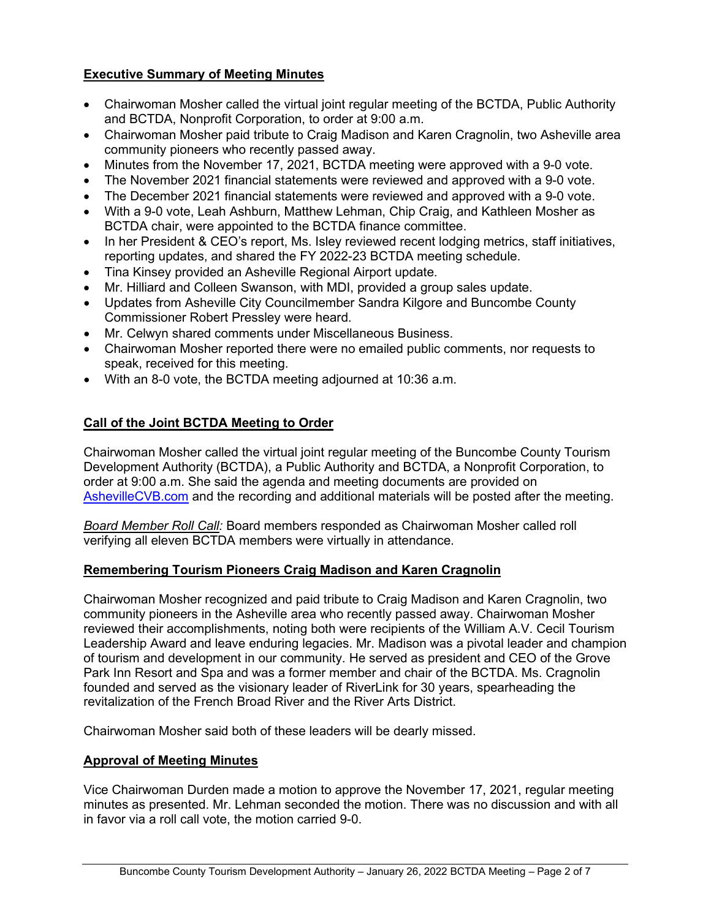# **Executive Summary of Meeting Minutes**

- Chairwoman Mosher called the virtual joint regular meeting of the BCTDA, Public Authority and BCTDA, Nonprofit Corporation, to order at 9:00 a.m.
- Chairwoman Mosher paid tribute to Craig Madison and Karen Cragnolin, two Asheville area community pioneers who recently passed away.
- Minutes from the November 17, 2021, BCTDA meeting were approved with a 9-0 vote.
- The November 2021 financial statements were reviewed and approved with a 9-0 vote.
- The December 2021 financial statements were reviewed and approved with a 9-0 vote.
- With a 9-0 vote, Leah Ashburn, Matthew Lehman, Chip Craig, and Kathleen Mosher as BCTDA chair, were appointed to the BCTDA finance committee.
- In her President & CEO's report, Ms. Isley reviewed recent lodging metrics, staff initiatives, reporting updates, and shared the FY 2022-23 BCTDA meeting schedule.
- Tina Kinsey provided an Asheville Regional Airport update.
- Mr. Hilliard and Colleen Swanson, with MDI, provided a group sales update.
- Updates from Asheville City Councilmember Sandra Kilgore and Buncombe County Commissioner Robert Pressley were heard.
- Mr. Celwyn shared comments under Miscellaneous Business.
- Chairwoman Mosher reported there were no emailed public comments, nor requests to speak, received for this meeting.
- With an 8-0 vote, the BCTDA meeting adjourned at 10:36 a.m.

# **Call of the Joint BCTDA Meeting to Order**

Chairwoman Mosher called the virtual joint regular meeting of the Buncombe County Tourism Development Authority (BCTDA), a Public Authority and BCTDA, a Nonprofit Corporation, to order at 9:00 a.m. She said the agenda and meeting documents are provided on [AshevilleCVB.com](https://www.ashevillecvb.com/board-meetings-documents/) and the recording and additional materials will be posted after the meeting.

*Board Member Roll Call:* Board members responded as Chairwoman Mosher called roll verifying all eleven BCTDA members were virtually in attendance.

# **Remembering Tourism Pioneers Craig Madison and Karen Cragnolin**

Chairwoman Mosher recognized and paid tribute to Craig Madison and Karen Cragnolin, two community pioneers in the Asheville area who recently passed away. Chairwoman Mosher reviewed their accomplishments, noting both were recipients of the William A.V. Cecil Tourism Leadership Award and leave enduring legacies. Mr. Madison was a pivotal leader and champion of tourism and development in our community. He served as president and CEO of the Grove Park Inn Resort and Spa and was a former member and chair of the BCTDA. Ms. Cragnolin founded and served as the visionary leader of RiverLink for 30 years, spearheading the revitalization of the French Broad River and the River Arts District.

Chairwoman Mosher said both of these leaders will be dearly missed.

## **Approval of Meeting Minutes**

Vice Chairwoman Durden made a motion to approve the November 17, 2021, regular meeting minutes as presented. Mr. Lehman seconded the motion. There was no discussion and with all in favor via a roll call vote, the motion carried 9-0.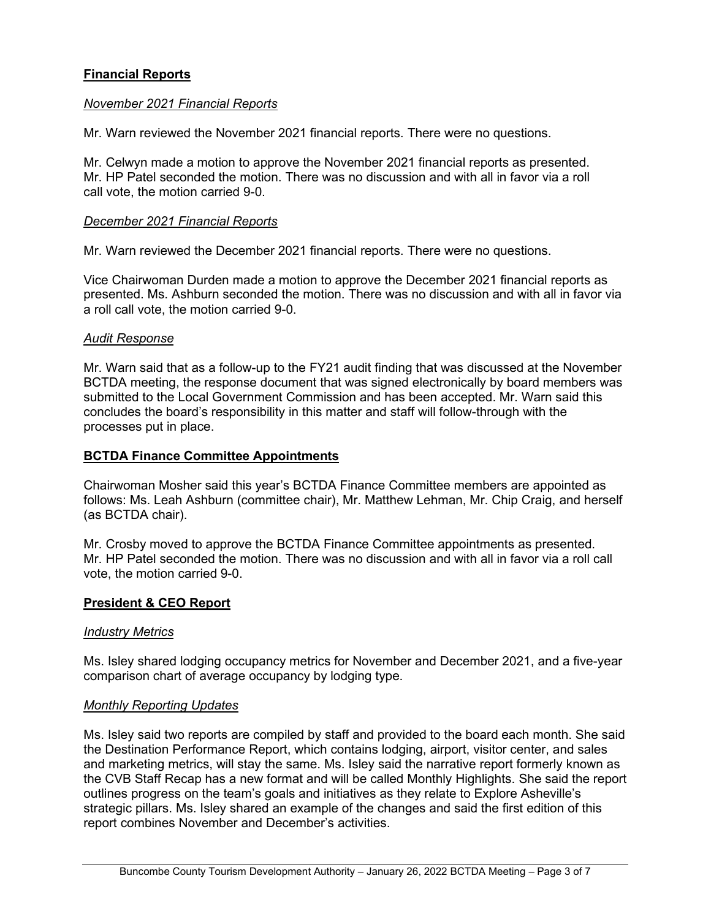## **Financial Reports**

## *November 2021 Financial Reports*

Mr. Warn reviewed the November 2021 financial reports. There were no questions.

Mr. Celwyn made a motion to approve the November 2021 financial reports as presented. Mr. HP Patel seconded the motion. There was no discussion and with all in favor via a roll call vote, the motion carried 9-0.

### *December 2021 Financial Reports*

Mr. Warn reviewed the December 2021 financial reports. There were no questions.

Vice Chairwoman Durden made a motion to approve the December 2021 financial reports as presented. Ms. Ashburn seconded the motion. There was no discussion and with all in favor via a roll call vote, the motion carried 9-0.

#### *Audit Response*

Mr. Warn said that as a follow-up to the FY21 audit finding that was discussed at the November BCTDA meeting, the response document that was signed electronically by board members was submitted to the Local Government Commission and has been accepted. Mr. Warn said this concludes the board's responsibility in this matter and staff will follow-through with the processes put in place.

## **BCTDA Finance Committee Appointments**

Chairwoman Mosher said this year's BCTDA Finance Committee members are appointed as follows: Ms. Leah Ashburn (committee chair), Mr. Matthew Lehman, Mr. Chip Craig, and herself (as BCTDA chair).

Mr. Crosby moved to approve the BCTDA Finance Committee appointments as presented. Mr. HP Patel seconded the motion. There was no discussion and with all in favor via a roll call vote, the motion carried 9-0.

## **President & CEO Report**

## *Industry Metrics*

Ms. Isley shared lodging occupancy metrics for November and December 2021, and a five-year comparison chart of average occupancy by lodging type.

#### *Monthly Reporting Updates*

Ms. Isley said two reports are compiled by staff and provided to the board each month. She said the Destination Performance Report, which contains lodging, airport, visitor center, and sales and marketing metrics, will stay the same. Ms. Isley said the narrative report formerly known as the CVB Staff Recap has a new format and will be called Monthly Highlights. She said the report outlines progress on the team's goals and initiatives as they relate to Explore Asheville's strategic pillars. Ms. Isley shared an example of the changes and said the first edition of this report combines November and December's activities.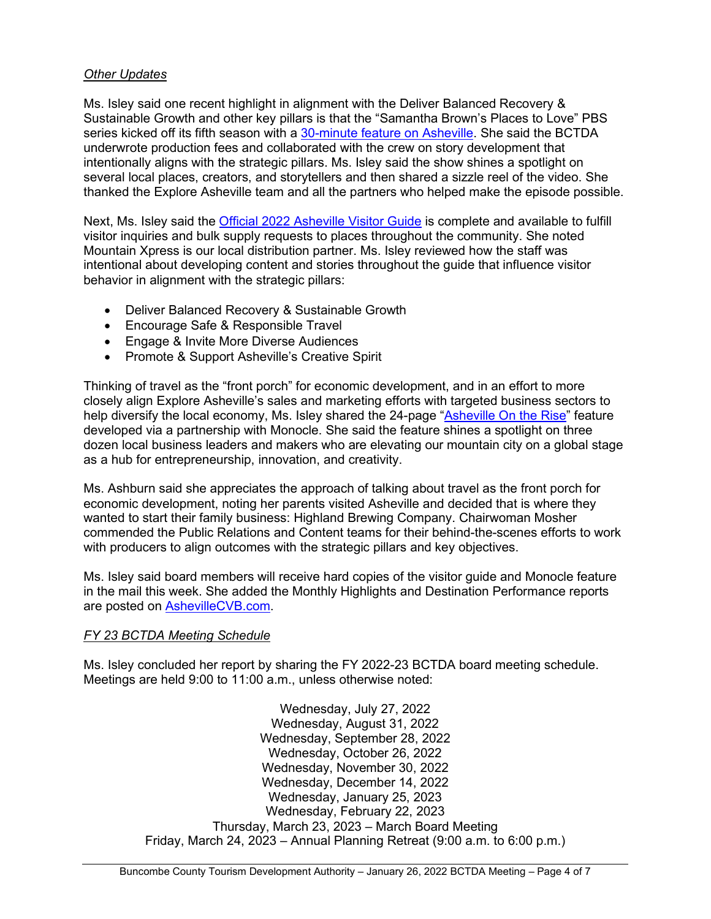## *Other Updates*

Ms. Isley said one recent highlight in alignment with the Deliver Balanced Recovery & Sustainable Growth and other key pillars is that the "Samantha Brown's Places to Love" PBS series kicked off its fifth season with a [30-minute feature on Asheville.](https://www.pbs.org/video/asheville-north-carolina-6szIen/) She said the BCTDA underwrote production fees and collaborated with the crew on story development that intentionally aligns with the strategic pillars. Ms. Isley said the show shines a spotlight on several local places, creators, and storytellers and then shared a sizzle reel of the video. She thanked the Explore Asheville team and all the partners who helped make the episode possible.

Next, Ms. Isley said the [Official 2022 Asheville Visitor Guide](https://www.exploreasheville.com/travel-guide/digital-travel-guide/) is complete and available to fulfill visitor inquiries and bulk supply requests to places throughout the community. She noted Mountain Xpress is our local distribution partner. Ms. Isley reviewed how the staff was intentional about developing content and stories throughout the guide that influence visitor behavior in alignment with the strategic pillars:

- Deliver Balanced Recovery & Sustainable Growth
- Encourage Safe & Responsible Travel
- Engage & Invite More Diverse Audiences
- Promote & Support Asheville's Creative Spirit

Thinking of travel as the "front porch" for economic development, and in an effort to more closely align Explore Asheville's sales and marketing efforts with targeted business sectors to help diversify the local economy, Ms. Isley shared the 24-page ["Asheville On the Rise"](https://monocle.com/magazine/explore-asheville/2021/) feature developed via a partnership with Monocle. She said the feature shines a spotlight on three dozen local business leaders and makers who are elevating our mountain city on a global stage as a hub for entrepreneurship, innovation, and creativity.

Ms. Ashburn said she appreciates the approach of talking about travel as the front porch for economic development, noting her parents visited Asheville and decided that is where they wanted to start their family business: Highland Brewing Company. Chairwoman Mosher commended the Public Relations and Content teams for their behind-the-scenes efforts to work with producers to align outcomes with the strategic pillars and key objectives.

Ms. Isley said board members will receive hard copies of the visitor guide and Monocle feature in the mail this week. She added the Monthly Highlights and Destination Performance reports are posted on [AshevilleCVB.com.](https://www.ashevillecvb.com/board-meetings-documents/)

## *FY 23 BCTDA Meeting Schedule*

Ms. Isley concluded her report by sharing the FY 2022-23 BCTDA board meeting schedule. Meetings are held 9:00 to 11:00 a.m., unless otherwise noted:

> Wednesday, July 27, 2022 Wednesday, August 31, 2022 Wednesday, September 28, 2022 Wednesday, October 26, 2022 Wednesday, November 30, 2022 Wednesday, December 14, 2022 Wednesday, January 25, 2023 Wednesday, February 22, 2023 Thursday, March 23, 2023 – March Board Meeting Friday, March 24, 2023 – Annual Planning Retreat (9:00 a.m. to 6:00 p.m.)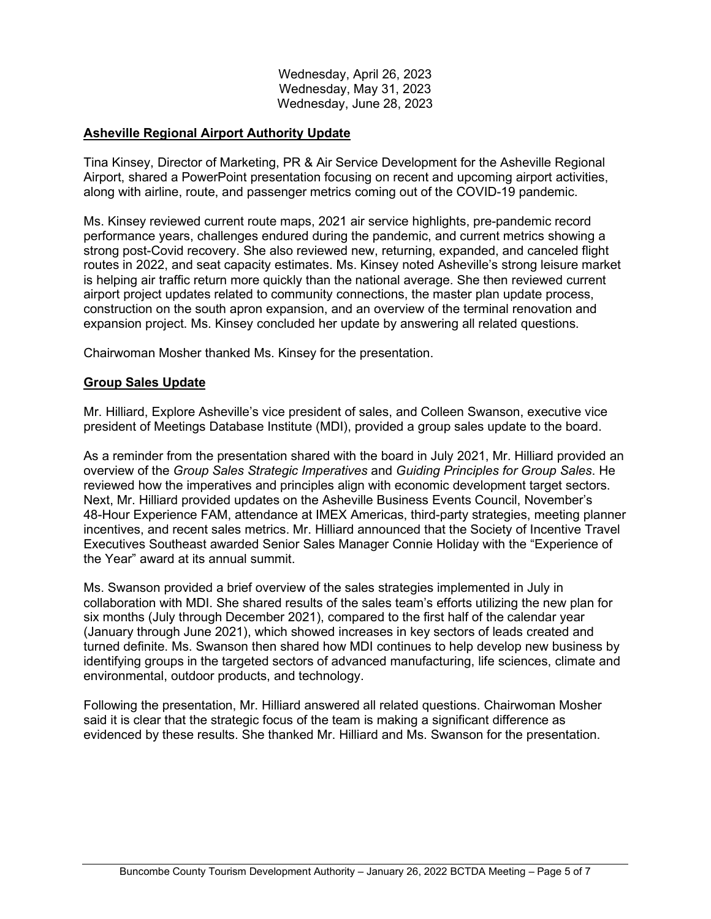| Wednesday, April 26, 2023 |  |
|---------------------------|--|
| Wednesday, May 31, 2023   |  |
| Wednesday, June 28, 2023  |  |

## **Asheville Regional Airport Authority Update**

Tina Kinsey, Director of Marketing, PR & Air Service Development for the Asheville Regional Airport, shared a PowerPoint presentation focusing on recent and upcoming airport activities, along with airline, route, and passenger metrics coming out of the COVID-19 pandemic.

Ms. Kinsey reviewed current route maps, 2021 air service highlights, pre-pandemic record performance years, challenges endured during the pandemic, and current metrics showing a strong post-Covid recovery. She also reviewed new, returning, expanded, and canceled flight routes in 2022, and seat capacity estimates. Ms. Kinsey noted Asheville's strong leisure market is helping air traffic return more quickly than the national average. She then reviewed current airport project updates related to community connections, the master plan update process, construction on the south apron expansion, and an overview of the terminal renovation and expansion project. Ms. Kinsey concluded her update by answering all related questions.

Chairwoman Mosher thanked Ms. Kinsey for the presentation.

## **Group Sales Update**

Mr. Hilliard, Explore Asheville's vice president of sales, and Colleen Swanson, executive vice president of Meetings Database Institute (MDI), provided a group sales update to the board.

As a reminder from the presentation shared with the board in July 2021, Mr. Hilliard provided an overview of the *Group Sales Strategic Imperatives* and *Guiding Principles for Group Sales*. He reviewed how the imperatives and principles align with economic development target sectors. Next, Mr. Hilliard provided updates on the Asheville Business Events Council, November's 48-Hour Experience FAM, attendance at IMEX Americas, third-party strategies, meeting planner incentives, and recent sales metrics. Mr. Hilliard announced that the Society of Incentive Travel Executives Southeast awarded Senior Sales Manager Connie Holiday with the "Experience of the Year" award at its annual summit.

Ms. Swanson provided a brief overview of the sales strategies implemented in July in collaboration with MDI. She shared results of the sales team's efforts utilizing the new plan for six months (July through December 2021), compared to the first half of the calendar year (January through June 2021), which showed increases in key sectors of leads created and turned definite. Ms. Swanson then shared how MDI continues to help develop new business by identifying groups in the targeted sectors of advanced manufacturing, life sciences, climate and environmental, outdoor products, and technology.

Following the presentation, Mr. Hilliard answered all related questions. Chairwoman Mosher said it is clear that the strategic focus of the team is making a significant difference as evidenced by these results. She thanked Mr. Hilliard and Ms. Swanson for the presentation.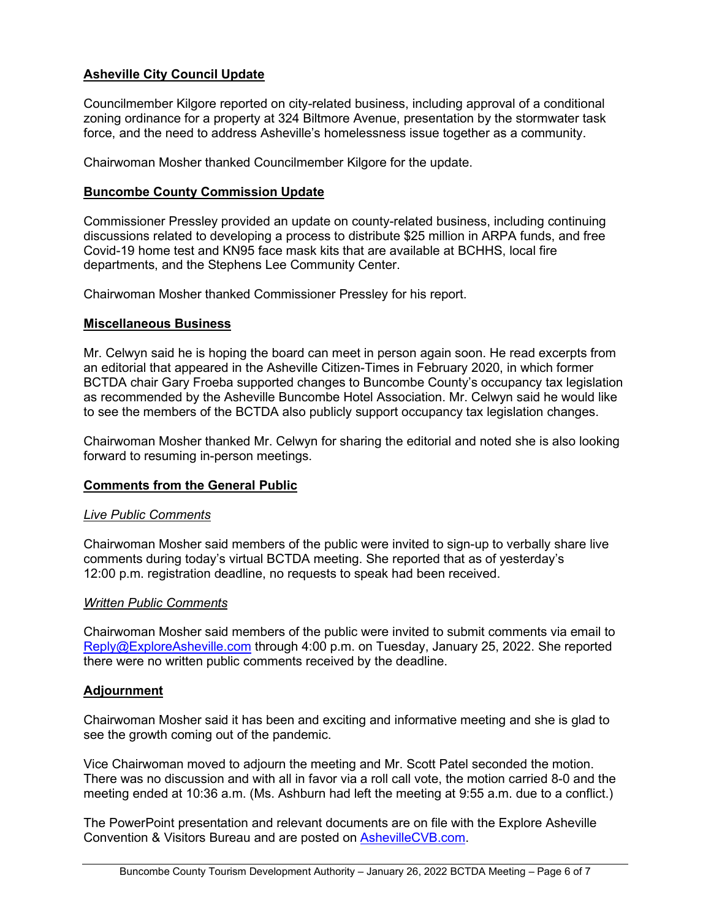# **Asheville City Council Update**

Councilmember Kilgore reported on city-related business, including approval of a conditional zoning ordinance for a property at 324 Biltmore Avenue, presentation by the stormwater task force, and the need to address Asheville's homelessness issue together as a community.

Chairwoman Mosher thanked Councilmember Kilgore for the update.

## **Buncombe County Commission Update**

Commissioner Pressley provided an update on county-related business, including continuing discussions related to developing a process to distribute \$25 million in ARPA funds, and free Covid-19 home test and KN95 face mask kits that are available at BCHHS, local fire departments, and the Stephens Lee Community Center.

Chairwoman Mosher thanked Commissioner Pressley for his report.

## **Miscellaneous Business**

Mr. Celwyn said he is hoping the board can meet in person again soon. He read excerpts from an editorial that appeared in the Asheville Citizen-Times in February 2020, in which former BCTDA chair Gary Froeba supported changes to Buncombe County's occupancy tax legislation as recommended by the Asheville Buncombe Hotel Association. Mr. Celwyn said he would like to see the members of the BCTDA also publicly support occupancy tax legislation changes.

Chairwoman Mosher thanked Mr. Celwyn for sharing the editorial and noted she is also looking forward to resuming in-person meetings.

## **Comments from the General Public**

## *Live Public Comments*

Chairwoman Mosher said members of the public were invited to sign-up to verbally share live comments during today's virtual BCTDA meeting. She reported that as of yesterday's 12:00 p.m. registration deadline, no requests to speak had been received.

## *Written Public Comments*

Chairwoman Mosher said members of the public were invited to submit comments via email to [Reply@ExploreAsheville.com](mailto:Reply@ExploreAsheville.com) through 4:00 p.m. on Tuesday, January 25, 2022. She reported there were no written public comments received by the deadline.

## **Adjournment**

Chairwoman Mosher said it has been and exciting and informative meeting and she is glad to see the growth coming out of the pandemic.

Vice Chairwoman moved to adjourn the meeting and Mr. Scott Patel seconded the motion. There was no discussion and with all in favor via a roll call vote, the motion carried 8-0 and the meeting ended at 10:36 a.m. (Ms. Ashburn had left the meeting at 9:55 a.m. due to a conflict.)

The PowerPoint presentation and relevant documents are on file with the Explore Asheville Convention & Visitors Bureau and are posted on [AshevilleCVB.com.](https://www.ashevillecvb.com/bctda-board-meeting-documents/)